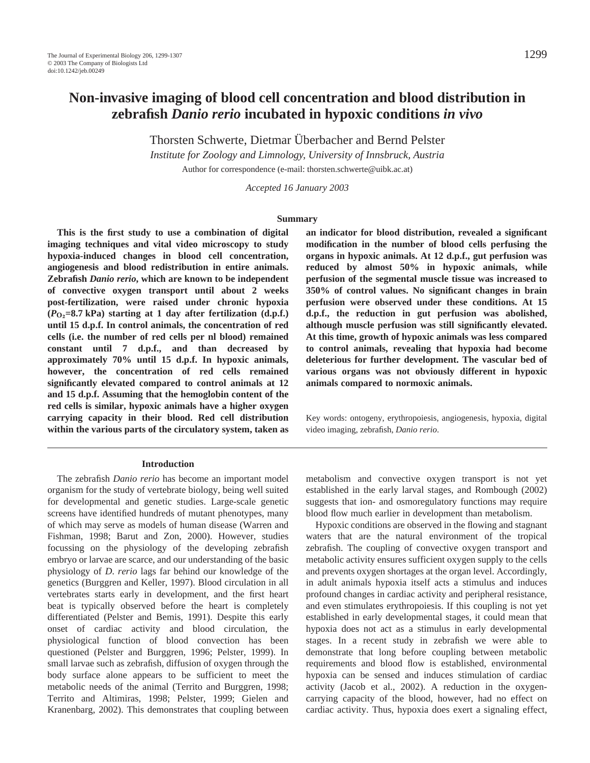# **Non-invasive imaging of blood cell concentration and blood distribution in zebrafish** *Danio rerio* **incubated in hypoxic conditions** *in vivo*

Thorsten Schwerte, Dietmar Überbacher and Bernd Pelster

*Institute for Zoology and Limnology, University of Innsbruck, Austria* Author for correspondence (e-mail: thorsten.schwerte@uibk.ac.at)

*Accepted 16 January 2003* 

#### **Summary**

**This is the first study to use a combination of digital imaging techniques and vital video microscopy to study hypoxia-induced changes in blood cell concentration, angiogenesis and blood redistribution in entire animals. Zebrafish** *Danio rerio***, which are known to be independent of convective oxygen transport until about 2 weeks post-fertilization, were raised under chronic hypoxia**  $(P<sub>O<sub>2</sub></sub>=8.7 kPa)$  starting at 1 day after fertilization (d.p.f.) **until 15 d.p.f. In control animals, the concentration of red cells (i.e. the number of red cells per nl blood) remained constant until 7 d.p.f., and than decreased by approximately 70% until 15 d.p.f. In hypoxic animals, however, the concentration of red cells remained significantly elevated compared to control animals at 12 and 15 d.p.f. Assuming that the hemoglobin content of the red cells is similar, hypoxic animals have a higher oxygen carrying capacity in their blood. Red cell distribution within the various parts of the circulatory system, taken as**

#### **Introduction**

The zebrafish *Danio rerio* has become an important model organism for the study of vertebrate biology, being well suited for developmental and genetic studies. Large-scale genetic screens have identified hundreds of mutant phenotypes, many of which may serve as models of human disease (Warren and Fishman, 1998; Barut and Zon, 2000). However, studies focussing on the physiology of the developing zebrafish embryo or larvae are scarce, and our understanding of the basic physiology of *D*. *rerio* lags far behind our knowledge of the genetics (Burggren and Keller, 1997). Blood circulation in all vertebrates starts early in development, and the first heart beat is typically observed before the heart is completely differentiated (Pelster and Bemis, 1991). Despite this early onset of cardiac activity and blood circulation, the physiological function of blood convection has been questioned (Pelster and Burggren, 1996; Pelster, 1999). In small larvae such as zebrafish, diffusion of oxygen through the body surface alone appears to be sufficient to meet the metabolic needs of the animal (Territo and Burggren, 1998; Territo and Altimiras, 1998; Pelster, 1999; Gielen and Kranenbarg, 2002). This demonstrates that coupling between **an indicator for blood distribution, revealed a significant modification in the number of blood cells perfusing the organs in hypoxic animals. At 12 d.p.f., gut perfusion was reduced by almost 50% in hypoxic animals, while perfusion of the segmental muscle tissue was increased to 350% of control values. No significant changes in brain perfusion were observed under these conditions. At 15 d.p.f., the reduction in gut perfusion was abolished, although muscle perfusion was still significantly elevated. At this time, growth of hypoxic animals was less compared to control animals, revealing that hypoxia had become deleterious for further development. The vascular bed of various organs was not obviously different in hypoxic animals compared to normoxic animals.** 

Key words: ontogeny, erythropoiesis, angiogenesis, hypoxia, digital video imaging, zebrafish, *Danio rerio*.

metabolism and convective oxygen transport is not yet established in the early larval stages, and Rombough (2002) suggests that ion- and osmoregulatory functions may require blood flow much earlier in development than metabolism.

Hypoxic conditions are observed in the flowing and stagnant waters that are the natural environment of the tropical zebrafish. The coupling of convective oxygen transport and metabolic activity ensures sufficient oxygen supply to the cells and prevents oxygen shortages at the organ level. Accordingly, in adult animals hypoxia itself acts a stimulus and induces profound changes in cardiac activity and peripheral resistance, and even stimulates erythropoiesis. If this coupling is not yet established in early developmental stages, it could mean that hypoxia does not act as a stimulus in early developmental stages. In a recent study in zebrafish we were able to demonstrate that long before coupling between metabolic requirements and blood flow is established, environmental hypoxia can be sensed and induces stimulation of cardiac activity (Jacob et al., 2002). A reduction in the oxygencarrying capacity of the blood, however, had no effect on cardiac activity. Thus, hypoxia does exert a signaling effect,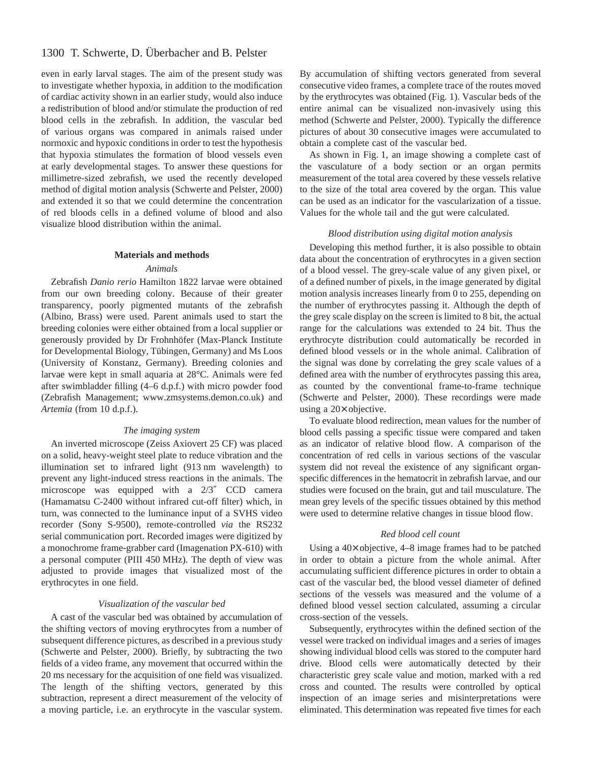# 1300 T. Schwerte, D. Überbacher and B. Pelster

even in early larval stages. The aim of the present study was to investigate whether hypoxia, in addition to the modification of cardiac activity shown in an earlier study, would also induce a redistribution of blood and/or stimulate the production of red blood cells in the zebrafish. In addition, the vascular bed of various organs was compared in animals raised under normoxic and hypoxic conditions in order to test the hypothesis that hypoxia stimulates the formation of blood vessels even at early developmental stages. To answer these questions for millimetre-sized zebrafish, we used the recently developed method of digital motion analysis (Schwerte and Pelster, 2000) and extended it so that we could determine the concentration of red bloods cells in a defined volume of blood and also visualize blood distribution within the animal.

## **Materials and methods**

#### *Animals*

Zebrafish *Danio rerio* Hamilton 1822 larvae were obtained from our own breeding colony. Because of their greater transparency, poorly pigmented mutants of the zebrafish (Albino, Brass) were used. Parent animals used to start the breeding colonies were either obtained from a local supplier or generously provided by Dr Frohnhöfer (Max-Planck Institute for Developmental Biology, Tübingen, Germany) and Ms Loos (University of Konstanz, Germany). Breeding colonies and larvae were kept in small aquaria at 28°C. Animals were fed after swimbladder filling (4–6 d.p.f.) with micro powder food (Zebrafish Management; www.zmsystems.demon.co.uk) and *Artemia* (from 10 d.p.f.).

# *The imaging system*

An inverted microscope (Zeiss Axiovert 25 CF) was placed on a solid, heavy-weight steel plate to reduce vibration and the illumination set to infrared light  $(913 \text{ nm}$  wavelength) to prevent any light-induced stress reactions in the animals. The microscope was equipped with a 2/3″ CCD camera (Hamamatsu C-2400 without infrared cut-off filter) which, in turn, was connected to the luminance input of a SVHS video recorder (Sony S-9500), remote-controlled *via* the RS232 serial communication port. Recorded images were digitized by a monochrome frame-grabber card (Imagenation PX-610) with a personal computer (PIII 450 MHz). The depth of view was adjusted to provide images that visualized most of the erythrocytes in one field.

#### *Visualization of the vascular bed*

A cast of the vascular bed was obtained by accumulation of the shifting vectors of moving erythrocytes from a number of subsequent difference pictures, as described in a previous study (Schwerte and Pelster, 2000). Briefly, by subtracting the two fields of a video frame, any movement that occurred within the 20 ms necessary for the acquisition of one field was visualized. The length of the shifting vectors, generated by this subtraction, represent a direct measurement of the velocity of a moving particle, i.e. an erythrocyte in the vascular system.

By accumulation of shifting vectors generated from several consecutive video frames, a complete trace of the routes moved by the erythrocytes was obtained (Fig. 1). Vascular beds of the entire animal can be visualized non-invasively using this method (Schwerte and Pelster, 2000). Typically the difference pictures of about 30 consecutive images were accumulated to obtain a complete cast of the vascular bed.

As shown in Fig. 1, an image showing a complete cast of the vasculature of a body section or an organ permits measurement of the total area covered by these vessels relative to the size of the total area covered by the organ. This value can be used as an indicator for the vascularization of a tissue. Values for the whole tail and the gut were calculated.

#### *Blood distribution using digital motion analysis*

Developing this method further, it is also possible to obtain data about the concentration of erythrocytes in a given section of a blood vessel. The grey-scale value of any given pixel, or of a defined number of pixels, in the image generated by digital motion analysis increases linearly from 0 to 255, depending on the number of erythrocytes passing it. Although the depth of the grey scale display on the screen is limited to 8 bit, the actual range for the calculations was extended to 24 bit. Thus the erythrocyte distribution could automatically be recorded in defined blood vessels or in the whole animal. Calibration of the signal was done by correlating the grey scale values of a defined area with the number of erythrocytes passing this area, as counted by the conventional frame-to-frame technique (Schwerte and Pelster, 2000). These recordings were made using a 20× objective.

To evaluate blood redirection, mean values for the number of blood cells passing a specific tissue were compared and taken as an indicator of relative blood flow. A comparison of the concentration of red cells in various sections of the vascular system did not reveal the existence of any significant organspecific differences in the hematocrit in zebrafish larvae, and our studies were focused on the brain, gut and tail musculature. The mean grey levels of the specific tissues obtained by this method were used to determine relative changes in tissue blood flow.

#### *Red blood cell count*

Using a 40× objective, 4–8 image frames had to be patched in order to obtain a picture from the whole animal. After accumulating sufficient difference pictures in order to obtain a cast of the vascular bed, the blood vessel diameter of defined sections of the vessels was measured and the volume of a defined blood vessel section calculated, assuming a circular cross-section of the vessels.

Subsequently, erythrocytes within the defined section of the vessel were tracked on individual images and a series of images showing individual blood cells was stored to the computer hard drive. Blood cells were automatically detected by their characteristic grey scale value and motion, marked with a red cross and counted. The results were controlled by optical inspection of an image series and misinterpretations were eliminated. This determination was repeated five times for each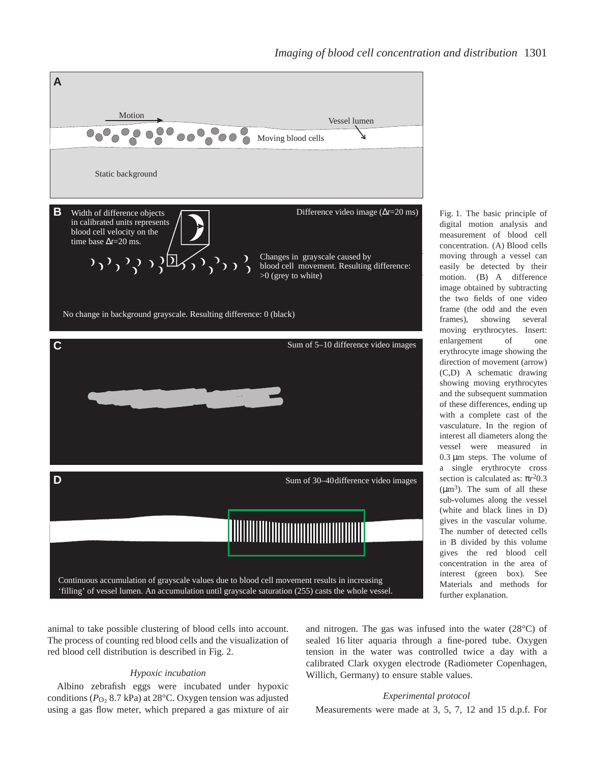

Fig. 1. The basic principle of digital motion analysis and measurement of blood cell concentration. (A) Blood cells moving through a vessel can easily be detected by their motion. (B) A difference image obtained by subtracting the two fields of one video frame (the odd and the even frames), showing several moving erythrocytes. Insert: enlargement of one erythrocyte image showing the direction of movement (arrow) (C,D) A schematic drawing showing moving erythrocytes and the subsequent summation of these differences, ending up with a complete cast of the vasculature. In the region of interest all diameters along the vessel were measured in  $0.3 \mu m$  steps. The volume of a single erythrocyte cross section is calculated as:  $\pi r^2 0.3$  $(\mu m^3)$ . The sum of all these sub-volumes along the vessel (white and black lines in D) gives in the vascular volume. The number of detected cells in B divided by this volume gives the red blood cell concentration in the area of interest (green box). See Materials and methods for further explanation.

animal to take possible clustering of blood cells into account. The process of counting red blood cells and the visualization of red blood cell distribution is described in Fig. 2.

# *Hypoxic incubation*

Albino zebrafish eggs were incubated under hypoxic conditions (*P*<sub>O2</sub> 8.7 kPa) at 28°C. Oxygen tension was adjusted using a gas flow meter, which prepared a gas mixture of air and nitrogen. The gas was infused into the water (28°C) of sealed 16 liter aquaria through a fine-pored tube. Oxygen tension in the water was controlled twice a day with a calibrated Clark oxygen electrode (Radiometer Copenhagen, Willich, Germany) to ensure stable values.

# *Experimental protocol*

Measurements were made at 3, 5, 7, 12 and 15 d.p.f. For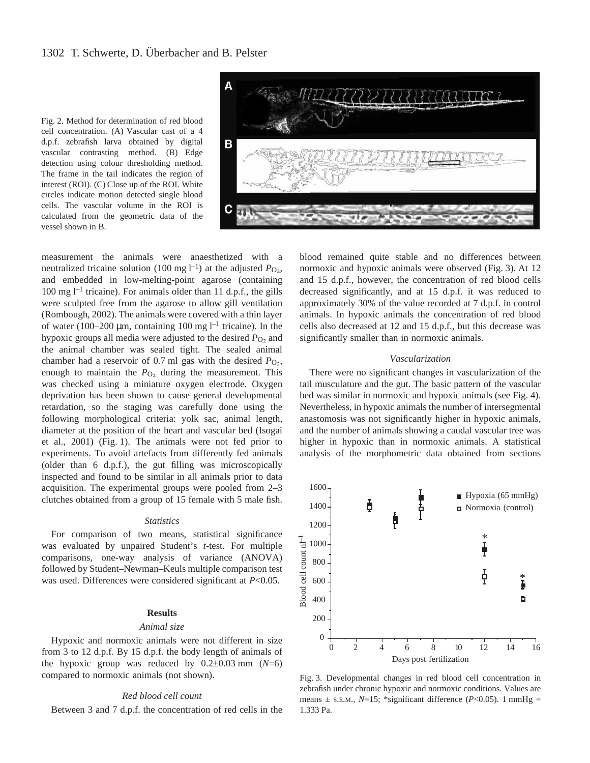Fig. 2. Method for determination of red blood cell concentration. (A) Vascular cast of a 4 d.p.f. zebrafish larva obtained by digital vascular contrasting method. (B) Edge detection using colour thresholding method. The frame in the tail indicates the region of interest (ROI). (C) Close up of the ROI. White circles indicate motion detected single blood cells. The vascular volume in the ROI is calculated from the geometric data of the vessel shown in B.



measurement the animals were anaesthetized with a neutralized tricaine solution (100 mg l<sup>-1</sup>) at the adjusted  $P_{\text{O}_2}$ , and embedded in low-melting-point agarose (containing 100 mg  $l^{-1}$  tricaine). For animals older than 11 d.p.f., the gills were sculpted free from the agarose to allow gill ventilation (Rombough, 2002). The animals were covered with a thin layer of water (100–200  $\mu$ m, containing 100 mg l<sup>-1</sup> tricaine). In the hypoxic groups all media were adjusted to the desired  $P_{\text{O}_2}$  and the animal chamber was sealed tight. The sealed animal chamber had a reservoir of 0.7 ml gas with the desired  $P_{\text{O}_2}$ , enough to maintain the  $P_{\text{O}_2}$  during the measurement. This was checked using a miniature oxygen electrode. Oxygen deprivation has been shown to cause general developmental retardation, so the staging was carefully done using the following morphological criteria: yolk sac, animal length, diameter at the position of the heart and vascular bed (Isogai et al.,  $2001$ ) (Fig. 1). The animals were not fed prior to experiments. To avoid artefacts from differently fed animals (older than 6 d.p.f.), the gut filling was microscopically inspected and found to be similar in all animals prior to data acquisition. The experimental groups were pooled from 2–3 clutches obtained from a group of 15 female with 5 male fish.

#### *Statistics*

For comparison of two means, statistical significance was evaluated by unpaired Student's *t*-test. For multiple comparisons, one-way analysis of variance (ANOVA) followed by Student–Newman–Keuls multiple comparison test was used. Differences were considered significant at *P*<0.05.

#### **Results**

#### *Animal size*

Hypoxic and normoxic animals were not different in size from 3 to 12 d.p.f. By 15 d.p.f. the body length of animals of the hypoxic group was reduced by  $0.2 \pm 0.03$  mm  $(N=6)$ compared to normoxic animals (not shown).

# *Red blood cell count*

Between 3 and 7 d.p.f. the concentration of red cells in the

blood remained quite stable and no differences between normoxic and hypoxic animals were observed (Fig. 3). At 12 and 15 d.p.f., however, the concentration of red blood cells decreased significantly, and at 15 d.p.f. it was reduced to approximately 30% of the value recorded at 7 d.p.f. in control animals. In hypoxic animals the concentration of red blood cells also decreased at 12 and 15 d.p.f., but this decrease was significantly smaller than in normoxic animals.

#### *Vascularization*

There were no significant changes in vascularization of the tail musculature and the gut. The basic pattern of the vascular bed was similar in normoxic and hypoxic animals (see Fig. 4). Nevertheless, in hypoxic animals the number of intersegmental anastomosis was not significantly higher in hypoxic animals, and the number of animals showing a caudal vascular tree was higher in hypoxic than in normoxic animals. A statistical analysis of the morphometric data obtained from sections



Fig. 3. Developmental changes in red blood cell concentration in zebrafish under chronic hypoxic and normoxic conditions. Values are means  $\pm$  s.e.m.,  $N=15$ ; \*significant difference ( $P<0.05$ ). 1 mmHg = 1.333 Pa.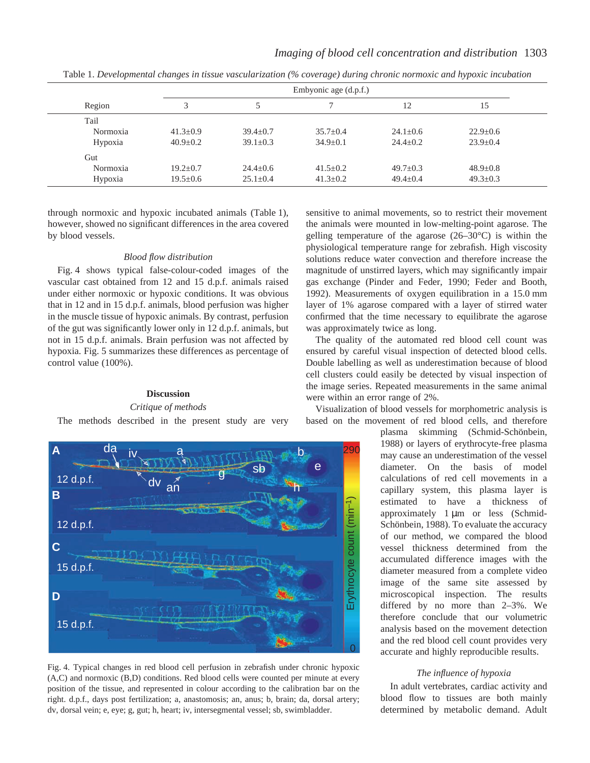| Region   | Embyonic age (d.p.f.) |                |                |                |                |
|----------|-----------------------|----------------|----------------|----------------|----------------|
|          | 3                     |                |                | 12             | 15             |
| Tail     |                       |                |                |                |                |
| Normoxia | $41.3 \pm 0.9$        | $39.4 \pm 0.7$ | $35.7 \pm 0.4$ | $24.1 \pm 0.6$ | $22.9 \pm 0.6$ |
| Hypoxia  | $40.9 \pm 0.2$        | $39.1 \pm 0.3$ | $34.9 \pm 0.1$ | $24.4 \pm 0.2$ | $23.9 \pm 0.4$ |
| Gut      |                       |                |                |                |                |
| Normoxia | $19.2 \pm 0.7$        | $24.4 \pm 0.6$ | $41.5 \pm 0.2$ | $49.7 \pm 0.3$ | $48.9 \pm 0.8$ |
| Hypoxia  | $19.5 \pm 0.6$        | $25.1 \pm 0.4$ | $41.3 \pm 0.2$ | $49.4 \pm 0.4$ | $49.3 \pm 0.3$ |

Table 1. *Developmental changes in tissue vascularization (% coverage) during chronic normoxic and hypoxic incubation*

through normoxic and hypoxic incubated animals (Table·1), however, showed no significant differences in the area covered by blood vessels.

#### *Blood flow distribution*

Fig. 4 shows typical false-colour-coded images of the vascular cast obtained from 12 and 15 d.p.f. animals raised under either normoxic or hypoxic conditions. It was obvious that in 12 and in 15 d.p.f. animals, blood perfusion was higher in the muscle tissue of hypoxic animals. By contrast, perfusion of the gut was significantly lower only in 12 d.p.f. animals, but not in 15 d.p.f. animals. Brain perfusion was not affected by hypoxia. Fig. 5 summarizes these differences as percentage of control value (100%).

### **Discussion**

# *Critique of methods*

The methods described in the present study are very



Fig. 4. Typical changes in red blood cell perfusion in zebrafish under chronic hypoxic (A,C) and normoxic (B,D) conditions. Red blood cells were counted per minute at every position of the tissue, and represented in colour according to the calibration bar on the right. d.p.f., days post fertilization; a, anastomosis; an, anus; b, brain; da, dorsal artery; dv, dorsal vein; e, eye; g, gut; h, heart; iv, intersegmental vessel; sb, swimbladder.

sensitive to animal movements, so to restrict their movement the animals were mounted in low-melting-point agarose. The gelling temperature of the agarose (26–30°C) is within the physiological temperature range for zebrafish. High viscosity solutions reduce water convection and therefore increase the magnitude of unstirred layers, which may significantly impair gas exchange (Pinder and Feder, 1990; Feder and Booth, 1992). Measurements of oxygen equilibration in a 15.0 mm layer of 1% agarose compared with a layer of stirred water confirmed that the time necessary to equilibrate the agarose was approximately twice as long.

The quality of the automated red blood cell count was ensured by careful visual inspection of detected blood cells. Double labelling as well as underestimation because of blood cell clusters could easily be detected by visual inspection of the image series. Repeated measurements in the same animal were within an error range of 2%.

Visualization of blood vessels for morphometric analysis is based on the movement of red blood cells, and therefore

> plasma skimming (Schmid-Schönbein, 1988) or layers of erythrocyte-free plasma may cause an underestimation of the vessel diameter. On the basis of model calculations of red cell movements in a capillary system, this plasma layer is estimated to have a thickness of approximately  $1 \mu m$  or less (Schmid-Schönbein, 1988). To evaluate the accuracy of our method, we compared the blood vessel thickness determined from the accumulated difference images with the diameter measured from a complete video image of the same site assessed by microscopical inspection. The results differed by no more than 2–3%. We therefore conclude that our volumetric analysis based on the movement detection and the red blood cell count provides very accurate and highly reproducible results.

# *The influence of hypoxia*

In adult vertebrates, cardiac activity and blood flow to tissues are both mainly determined by metabolic demand. Adult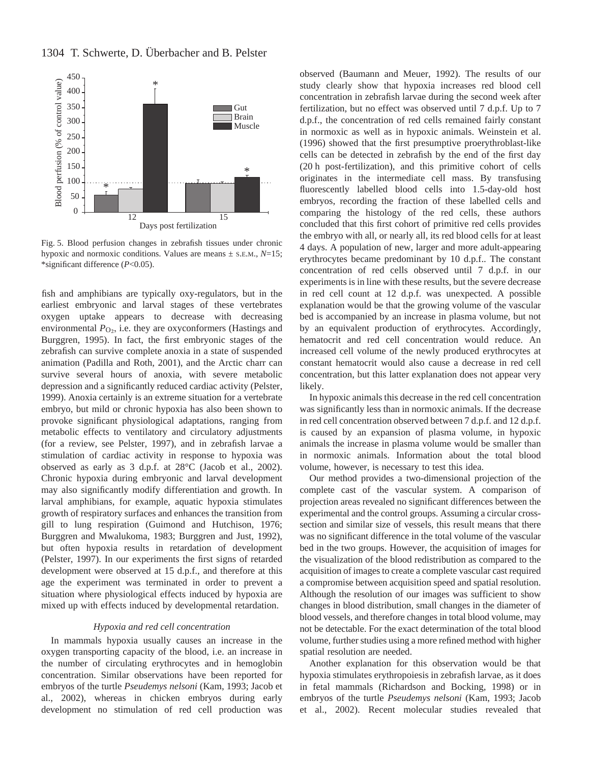



Fig. 5. Blood perfusion changes in zebrafish tissues under chronic hypoxic and normoxic conditions. Values are means ± S.E.M., *N*=15; \*significant difference (*P*<0.05).

fish and amphibians are typically oxy-regulators, but in the earliest embryonic and larval stages of these vertebrates oxygen uptake appears to decrease with decreasing environmental  $P_{\text{O}_2}$ , i.e. they are oxyconformers (Hastings and Burggren, 1995). In fact, the first embryonic stages of the zebrafish can survive complete anoxia in a state of suspended animation (Padilla and Roth, 2001), and the Arctic charr can survive several hours of anoxia, with severe metabolic depression and a significantly reduced cardiac activity (Pelster, 1999). Anoxia certainly is an extreme situation for a vertebrate embryo, but mild or chronic hypoxia has also been shown to provoke significant physiological adaptations, ranging from metabolic effects to ventilatory and circulatory adjustments (for a review, see Pelster, 1997), and in zebrafish larvae a stimulation of cardiac activity in response to hypoxia was observed as early as 3 d.p.f. at 28°C (Jacob et al., 2002). Chronic hypoxia during embryonic and larval development may also significantly modify differentiation and growth. In larval amphibians, for example, aquatic hypoxia stimulates growth of respiratory surfaces and enhances the transition from gill to lung respiration (Guimond and Hutchison, 1976; Burggren and Mwalukoma, 1983; Burggren and Just, 1992), but often hypoxia results in retardation of development (Pelster, 1997). In our experiments the first signs of retarded development were observed at 15 d.p.f., and therefore at this age the experiment was terminated in order to prevent a situation where physiological effects induced by hypoxia are mixed up with effects induced by developmental retardation.

#### *Hypoxia and red cell concentration*

In mammals hypoxia usually causes an increase in the oxygen transporting capacity of the blood, i.e. an increase in the number of circulating erythrocytes and in hemoglobin concentration. Similar observations have been reported for embryos of the turtle *Pseudemys nelsoni* (Kam, 1993; Jacob et al., 2002), whereas in chicken embryos during early development no stimulation of red cell production was

observed (Baumann and Meuer, 1992). The results of our study clearly show that hypoxia increases red blood cell concentration in zebrafish larvae during the second week after fertilization, but no effect was observed until 7 d.p.f. Up to 7 d.p.f., the concentration of red cells remained fairly constant in normoxic as well as in hypoxic animals. Weinstein et al. (1996) showed that the first presumptive proerythroblast-like cells can be detected in zebrafish by the end of the first day (20 h post-fertilization), and this primitive cohort of cells originates in the intermediate cell mass. By transfusing fluorescently labelled blood cells into 1.5-day-old host embryos, recording the fraction of these labelled cells and comparing the histology of the red cells, these authors concluded that this first cohort of primitive red cells provides the embryo with all, or nearly all, its red blood cells for at least 4 days. A population of new, larger and more adult-appearing erythrocytes became predominant by 10 d.p.f.. The constant concentration of red cells observed until 7 d.p.f. in our experiments is in line with these results, but the severe decrease in red cell count at 12 d.p.f. was unexpected. A possible explanation would be that the growing volume of the vascular bed is accompanied by an increase in plasma volume, but not by an equivalent production of erythrocytes. Accordingly, hematocrit and red cell concentration would reduce. An increased cell volume of the newly produced erythrocytes at constant hematocrit would also cause a decrease in red cell concentration, but this latter explanation does not appear very likely.

In hypoxic animals this decrease in the red cell concentration was significantly less than in normoxic animals. If the decrease in red cell concentration observed between 7 d.p.f. and 12 d.p.f. is caused by an expansion of plasma volume, in hypoxic animals the increase in plasma volume would be smaller than in normoxic animals. Information about the total blood volume, however, is necessary to test this idea.

Our method provides a two-dimensional projection of the complete cast of the vascular system. A comparison of projection areas revealed no significant differences between the experimental and the control groups. Assuming a circular crosssection and similar size of vessels, this result means that there was no significant difference in the total volume of the vascular bed in the two groups. However, the acquisition of images for the visualization of the blood redistribution as compared to the acquisition of images to create a complete vascular cast required a compromise between acquisition speed and spatial resolution. Although the resolution of our images was sufficient to show changes in blood distribution, small changes in the diameter of blood vessels, and therefore changes in total blood volume, may not be detectable. For the exact determination of the total blood volume, further studies using a more refined method with higher spatial resolution are needed.

Another explanation for this observation would be that hypoxia stimulates erythropoiesis in zebrafish larvae, as it does in fetal mammals (Richardson and Bocking, 1998) or in embryos of the turtle *Pseudemys nelsoni* (Kam, 1993; Jacob et al., 2002). Recent molecular studies revealed that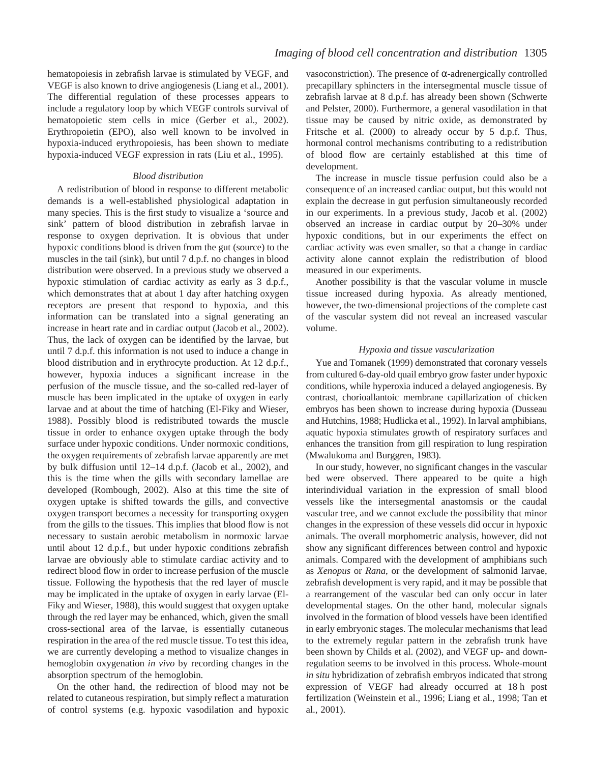hematopoiesis in zebrafish larvae is stimulated by VEGF, and VEGF is also known to drive angiogenesis (Liang et al., 2001). The differential regulation of these processes appears to include a regulatory loop by which VEGF controls survival of hematopoietic stem cells in mice (Gerber et al., 2002). Erythropoietin (EPO), also well known to be involved in hypoxia-induced erythropoiesis, has been shown to mediate hypoxia-induced VEGF expression in rats (Liu et al., 1995).

# *Blood distribution*

A redistribution of blood in response to different metabolic demands is a well-established physiological adaptation in many species. This is the first study to visualize a 'source and sink' pattern of blood distribution in zebrafish larvae in response to oxygen deprivation. It is obvious that under hypoxic conditions blood is driven from the gut (source) to the muscles in the tail (sink), but until 7 d.p.f. no changes in blood distribution were observed. In a previous study we observed a hypoxic stimulation of cardiac activity as early as 3 d.p.f., which demonstrates that at about 1 day after hatching oxygen receptors are present that respond to hypoxia, and this information can be translated into a signal generating an increase in heart rate and in cardiac output (Jacob et al., 2002). Thus, the lack of oxygen can be identified by the larvae, but until 7 d.p.f. this information is not used to induce a change in blood distribution and in erythrocyte production. At 12 d.p.f., however, hypoxia induces a significant increase in the perfusion of the muscle tissue, and the so-called red-layer of muscle has been implicated in the uptake of oxygen in early larvae and at about the time of hatching (El-Fiky and Wieser, 1988). Possibly blood is redistributed towards the muscle tissue in order to enhance oxygen uptake through the body surface under hypoxic conditions. Under normoxic conditions, the oxygen requirements of zebrafish larvae apparently are met by bulk diffusion until 12–14 d.p.f. (Jacob et al., 2002), and this is the time when the gills with secondary lamellae are developed (Rombough, 2002). Also at this time the site of oxygen uptake is shifted towards the gills, and convective oxygen transport becomes a necessity for transporting oxygen from the gills to the tissues. This implies that blood flow is not necessary to sustain aerobic metabolism in normoxic larvae until about 12 d.p.f., but under hypoxic conditions zebrafish larvae are obviously able to stimulate cardiac activity and to redirect blood flow in order to increase perfusion of the muscle tissue. Following the hypothesis that the red layer of muscle may be implicated in the uptake of oxygen in early larvae (El-Fiky and Wieser, 1988), this would suggest that oxygen uptake through the red layer may be enhanced, which, given the small cross-sectional area of the larvae, is essentially cutaneous respiration in the area of the red muscle tissue. To test this idea, we are currently developing a method to visualize changes in hemoglobin oxygenation *in vivo* by recording changes in the absorption spectrum of the hemoglobin.

On the other hand, the redirection of blood may not be related to cutaneous respiration, but simply reflect a maturation of control systems (e.g. hypoxic vasodilation and hypoxic vasoconstriction). The presence of α-adrenergically controlled precapillary sphincters in the intersegmental muscle tissue of zebrafish larvae at 8 d.p.f. has already been shown (Schwerte and Pelster, 2000). Furthermore, a general vasodilation in that tissue may be caused by nitric oxide, as demonstrated by Fritsche et al. (2000) to already occur by 5 d.p.f. Thus, hormonal control mechanisms contributing to a redistribution of blood flow are certainly established at this time of development.

The increase in muscle tissue perfusion could also be a consequence of an increased cardiac output, but this would not explain the decrease in gut perfusion simultaneously recorded in our experiments. In a previous study, Jacob et al. (2002) observed an increase in cardiac output by 20–30% under hypoxic conditions, but in our experiments the effect on cardiac activity was even smaller, so that a change in cardiac activity alone cannot explain the redistribution of blood measured in our experiments.

Another possibility is that the vascular volume in muscle tissue increased during hypoxia. As already mentioned, however, the two-dimensional projections of the complete cast of the vascular system did not reveal an increased vascular volume.

# *Hypoxia and tissue vascularization*

Yue and Tomanek (1999) demonstrated that coronary vessels from cultured 6-day-old quail embryo grow faster under hypoxic conditions, while hyperoxia induced a delayed angiogenesis. By contrast, chorioallantoic membrane capillarization of chicken embryos has been shown to increase during hypoxia (Dusseau and Hutchins, 1988; Hudlicka et al., 1992). In larval amphibians, aquatic hypoxia stimulates growth of respiratory surfaces and enhances the transition from gill respiration to lung respiration (Mwalukoma and Burggren, 1983).

In our study, however, no significant changes in the vascular bed were observed. There appeared to be quite a high interindividual variation in the expression of small blood vessels like the intersegmental anastomsis or the caudal vascular tree, and we cannot exclude the possibility that minor changes in the expression of these vessels did occur in hypoxic animals. The overall morphometric analysis, however, did not show any significant differences between control and hypoxic animals. Compared with the development of amphibians such as *Xenopus* or *Rana*, or the development of salmonid larvae, zebrafish development is very rapid, and it may be possible that a rearrangement of the vascular bed can only occur in later developmental stages. On the other hand, molecular signals involved in the formation of blood vessels have been identified in early embryonic stages. The molecular mechanisms that lead to the extremely regular pattern in the zebrafish trunk have been shown by Childs et al. (2002), and VEGF up- and downregulation seems to be involved in this process. Whole-mount *in situ* hybridization of zebrafish embryos indicated that strong expression of VEGF had already occurred at 18 h post fertilization (Weinstein et al., 1996; Liang et al., 1998; Tan et al., 2001).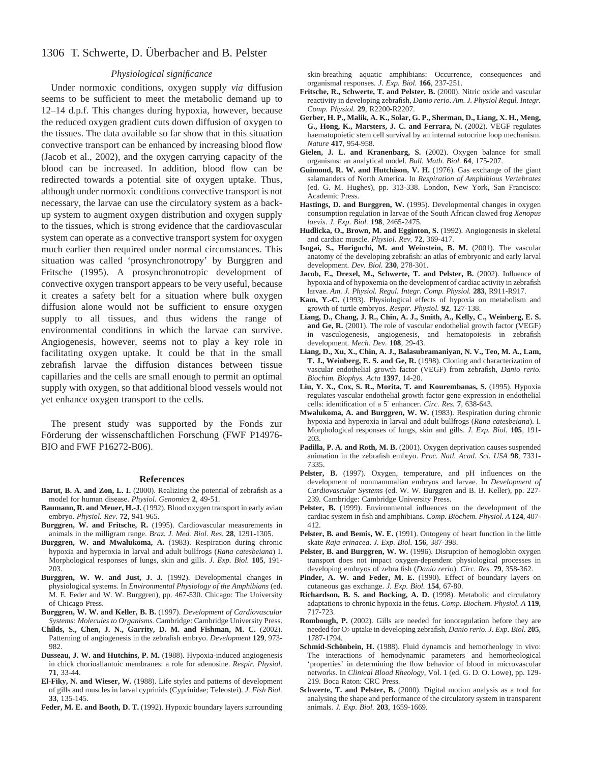# 1306 T. Schwerte, D. Überbacher and B. Pelster

## *Physiological significance*

Under normoxic conditions, oxygen supply *via* diffusion seems to be sufficient to meet the metabolic demand up to 12–14 d.p.f. This changes during hypoxia, however, because the reduced oxygen gradient cuts down diffusion of oxygen to the tissues. The data available so far show that in this situation convective transport can be enhanced by increasing blood flow (Jacob et al., 2002), and the oxygen carrying capacity of the blood can be increased. In addition, blood flow can be redirected towards a potential site of oxygen uptake. Thus, although under normoxic conditions convective transport is not necessary, the larvae can use the circulatory system as a backup system to augment oxygen distribution and oxygen supply to the tissues, which is strong evidence that the cardiovascular system can operate as a convective transport system for oxygen much earlier then required under normal circumstances. This situation was called 'prosynchronotropy' by Burggren and Fritsche (1995). A prosynchronotropic development of convective oxygen transport appears to be very useful, because it creates a safety belt for a situation where bulk oxygen diffusion alone would not be sufficient to ensure oxygen supply to all tissues, and thus widens the range of environmental conditions in which the larvae can survive. Angiogenesis, however, seems not to play a key role in facilitating oxygen uptake. It could be that in the small zebrafish larvae the diffusion distances between tissue capillaries and the cells are small enough to permit an optimal supply with oxygen, so that additional blood vessels would not yet enhance oxygen transport to the cells.

The present study was supported by the Fonds zur Förderung der wissenschaftlichen Forschung (FWF P14976- BIO and FWF P16272-B06).

#### **References**

- **Barut, B. A. and Zon, L. I.** (2000). Realizing the potential of zebrafish as a model for human disease. *Physiol. Genomics* **2**, 49-51.
- **Baumann, R. and Meuer, H.-J.** (1992). Blood oxygen transport in early avian embryo. *Physiol. Rev.* **72**, 941-965.
- **Burggren, W. and Fritsche, R.** (1995). Cardiovascular measurements in animals in the milligram range. *Braz. J. Med. Biol. Res.* **28**, 1291-1305.
- **Burggren, W. and Mwalukoma, A.** (1983). Respiration during chronic hypoxia and hyperoxia in larval and adult bullfrogs (*Rana catesbeiana*) I. Morphological responses of lungs, skin and gills. *J. Exp. Biol.* **105**, 191- 203.
- **Burggren, W. W. and Just, J. J.** (1992). Developmental changes in physiological systems. In *Environmental Physiology of the Amphibians* (ed. M. E. Feder and W. W. Burggren), pp. 467-530. Chicago: The University of Chicago Press.
- **Burggren, W. W. and Keller, B. B.** (1997). *Development of Cardiovascular Systems: Molecules to Organisms.* Cambridge: Cambridge University Press.
- **Childs, S., Chen, J. N., Garrity, D. M. and Fishman, M. C.** (2002). Patterning of angiogenesis in the zebrafish embryo. *Development* **129**, 973- 982.
- **Dusseau, J. W. and Hutchins, P. M.** (1988). Hypoxia-induced angiogenesis in chick chorioallantoic membranes: a role for adenosine. *Respir. Physiol*. **71**, 33-44.
- **El-Fiky, N. and Wieser, W.** (1988). Life styles and patterns of development of gills and muscles in larval cyprinids (Cyprinidae; Teleostei). *J. Fish Biol.* **33**, 135-145.

Feder, M. E. and Booth, D. T. (1992). Hypoxic boundary layers surrounding

skin-breathing aquatic amphibians: Occurrence, consequences and organismal responses. *J. Exp. Biol.* **166**, 237-251.

- **Fritsche, R., Schwerte, T. and Pelster, B.** (2000). Nitric oxide and vascular reactivity in developing zebrafish, *Danio rerio*. *Am. J. Physiol Regul. Integr. Comp. Physiol.* **29**, R2200-R2207.
- **Gerber, H. P., Malik, A. K., Solar, G. P., Sherman, D., Liang, X. H., Meng, G., Hong, K., Marsters, J. C. and Ferrara, N.** (2002). VEGF regulates haematopoietic stem cell survival by an internal autocrine loop mechanism. *Nature* **417**, 954-958.
- **Gielen, J. L. and Kranenbarg, S.** (2002). Oxygen balance for small organisms: an analytical model. *Bull. Math. Biol.* **64**, 175-207.
- **Guimond, R. W. and Hutchison, V. H.** (1976). Gas exchange of the giant salamanders of North America. In *Respiration of Amphibious Vertebrates* (ed. G. M. Hughes), pp. 313-338. London, New York, San Francisco: Academic Press.
- **Hastings, D. and Burggren, W.** (1995). Developmental changes in oxygen consumption regulation in larvae of the South African clawed frog *Xenopus laevis*. *J. Exp. Biol.* **198**, 2465-2475.
- **Hudlicka, O., Brown, M. and Egginton, S.** (1992). Angiogenesis in skeletal and cardiac muscle. *Physiol. Rev.* **72**, 369-417.
- **Isogai, S., Horiguchi, M. and Weinstein, B. M.** (2001). The vascular anatomy of the developing zebrafish: an atlas of embryonic and early larval development. *Dev. Biol.* **230**, 278-301.
- Jacob, E., Drexel, M., Schwerte, T. and Pelster, B. (2002). Influence of hypoxia and of hypoxemia on the development of cardiac activity in zebrafish larvae. *Am. J. Physiol. Regul. Integr. Comp. Physiol.* **283**, R911-R917.
- **Kam, Y.-C.** (1993). Physiological effects of hypoxia on metabolism and growth of turtle embryos. *Respir. Physiol.* **92**, 127-138.
- **Liang, D., Chang, J. R., Chin, A. J., Smith, A., Kelly, C., Weinberg, E. S. and Ge, R.** (2001). The role of vascular endothelial growth factor (VEGF) in vasculogenesis, angiogenesis, and hematopoiesis in zebrafish development. *Mech. Dev.* **108**, 29-43.
- **Liang, D., Xu, X., Chin, A. J., Balasubramaniyan, N. V., Teo, M. A., Lam, T. J., Weinberg, E. S. and Ge, R.** (1998). Cloning and characterization of vascular endothelial growth factor (VEGF) from zebrafish, *Danio rerio*. *Biochim. Biophys. Acta* **1397**, 14-20.
- **Liu, Y. X., Cox, S. R., Morita, T. and Kourembanas, S.** (1995). Hypoxia regulates vascular endothelial growth factor gene expression in endothelial cells: identification of a 5′ enhancer. *Circ. Res.* **7**, 638-643.
- **Mwalukoma, A. and Burggren, W. W.** (1983). Respiration during chronic hypoxia and hyperoxia in larval and adult bullfrogs (*Rana catesbeiana*). I. Morphological responses of lungs, skin and gills. *J. Exp. Biol.* **105**, 191- 203.
- **Padilla, P. A. and Roth, M. B.** (2001). Oxygen deprivation causes suspended animation in the zebrafish embryo. *Proc. Natl. Acad. Sci. USA* **98**, 7331- 7335.
- **Pelster, B.** (1997). Oxygen, temperature, and pH influences on the development of nonmammalian embryos and larvae. In *Development of Cardiovascular Systems* (ed. W. W. Burggren and B. B. Keller), pp. 227- 239. Cambridge: Cambridge University Press.
- Pelster, B. (1999). Environmental influences on the development of the cardiac system in fish and amphibians. *Comp. Biochem. Physiol. A* **124**, 407- 412.
- **Pelster, B. and Bemis, W. E.** (1991). Ontogeny of heart function in the little skate *Raja erinacea*. *J. Exp. Biol.* **156**, 387-398.
- Pelster, B. and Burggren, W. W. (1996). Disruption of hemoglobin oxygen transport does not impact oxygen-dependent physiological processes in developing embryos of zebra fish (*Danio rerio*). *Circ. Res.* **79**, 358-362.
- Pinder, A. W. and Feder, M. E. (1990). Effect of boundary layers on cutaneous gas exchange. *J. Exp. Biol.* **154**, 67-80.
- **Richardson, B. S. and Bocking, A. D.** (1998). Metabolic and circulatory adaptations to chronic hypoxia in the fetus. *Comp. Biochem. Physiol. A* **119**, 717-723.
- **Rombough, P.** (2002). Gills are needed for ionoregulation before they are needed for O2 uptake in developing zebrafish, *Danio rerio*. *J. Exp. Biol.* **205**, 1787-1794.
- Schmid-Schönbein, H. (1988). Fluid dynamcis and hemorheology in vivo: The interactions of hemodynamic parameters and hemorheological 'properties' in determining the flow behavior of blood in microvascular networks. In *Clinical Blood Rheology*, Vol. 1 (ed. G. D. O. Lowe), pp. 129- 219. Boca Raton: CRC Press.
- Schwerte, T. and Pelster, B. (2000). Digital motion analysis as a tool for analysing the shape and performance of the circulatory system in transparent animals. *J. Exp. Biol.* **203**, 1659-1669.